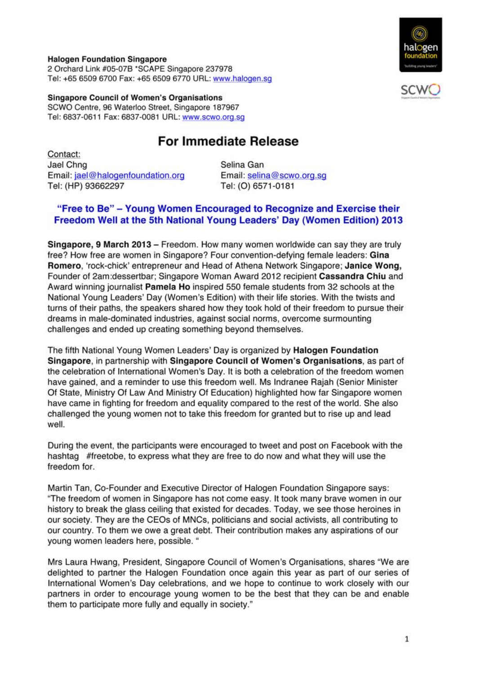#### **Halogen Foundation Singapore**

2 Orchard Link #05-07B \*SCAPE Singapore 237978 Tel: +65 6509 6700 Fax: +65 6509 6770 URL: www.halogen.sq

**Singapore Council of Women's Organisations** SCWO Centre, 96 Waterloo Street, Singapore 187967 Tel: 6837-0611 Fax: 6837-0081 URL: www.scwo.org.sq

# **For Immediate Release**

Contact: Jael Chng Email: jael@halogenfoundation.org Tel: (HP) 93662297

Selina Gan Email: selina@scwo.org.sg Tel: (O) 6571-0181

# "Free to Be" - Young Women Encouraged to Recognize and Exercise their Freedom Well at the 5th National Young Leaders' Day (Women Edition) 2013

Singapore, 9 March 2013 – Freedom. How many women worldwide can say they are truly free? How free are women in Singapore? Four convention-defying female leaders: Gina Romero, 'rock-chick' entrepreneur and Head of Athena Network Singapore; Janice Wong, Founder of 2am: dessertbar; Singapore Woman Award 2012 recipient Cassandra Chiu and Award winning journalist Pamela Ho inspired 550 female students from 32 schools at the National Young Leaders' Day (Women's Edition) with their life stories. With the twists and turns of their paths, the speakers shared how they took hold of their freedom to pursue their dreams in male-dominated industries, against social norms, overcome surmounting challenges and ended up creating something beyond themselves.

The fifth National Young Women Leaders' Day is organized by **Halogen Foundation** Singapore, in partnership with Singapore Council of Women's Organisations, as part of the celebration of International Women's Day. It is both a celebration of the freedom women have gained, and a reminder to use this freedom well. Ms Indranee Raiah (Senior Minister Of State, Ministry Of Law And Ministry Of Education) highlighted how far Singapore women have came in fighting for freedom and equality compared to the rest of the world. She also challenged the young women not to take this freedom for granted but to rise up and lead well.

During the event, the participants were encouraged to tweet and post on Facebook with the hashtag #freetobe, to express what they are free to do now and what they will use the freedom for.

Martin Tan, Co-Founder and Executive Director of Halogen Foundation Singapore says: "The freedom of women in Singapore has not come easy. It took many brave women in our history to break the glass ceiling that existed for decades. Today, we see those heroines in our society. They are the CEOs of MNCs, politicians and social activists, all contributing to our country. To them we owe a great debt. Their contribution makes any aspirations of our voung women leaders here, possible. "

Mrs Laura Hwang, President, Singapore Council of Women's Organisations, shares "We are delighted to partner the Halogen Foundation once again this year as part of our series of International Women's Day celebrations, and we hope to continue to work closely with our partners in order to encourage young women to be the best that they can be and enable them to participate more fully and equally in society."



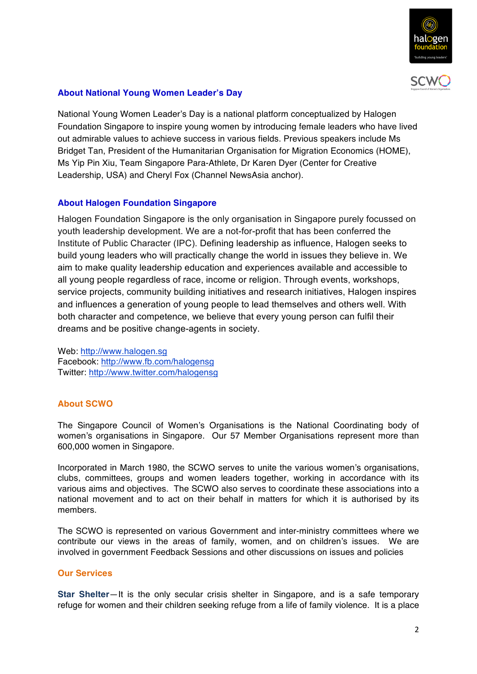



## **About National Young Women Leader's Day**

National Young Women Leader's Day is a national platform conceptualized by Halogen Foundation Singapore to inspire young women by introducing female leaders who have lived out admirable values to achieve success in various fields. Previous speakers include Ms Bridget Tan, President of the Humanitarian Organisation for Migration Economics (HOME), Ms Yip Pin Xiu, Team Singapore Para-Athlete, Dr Karen Dyer (Center for Creative Leadership, USA) and Cheryl Fox (Channel NewsAsia anchor).

## **About Halogen Foundation Singapore**

Halogen Foundation Singapore is the only organisation in Singapore purely focussed on youth leadership development. We are a not-for-profit that has been conferred the Institute of Public Character (IPC). Defining leadership as influence, Halogen seeks to build young leaders who will practically change the world in issues they believe in. We aim to make quality leadership education and experiences available and accessible to all young people regardless of race, income or religion. Through events, workshops, service projects, community building initiatives and research initiatives, Halogen inspires and influences a generation of young people to lead themselves and others well. With both character and competence, we believe that every young person can fulfil their dreams and be positive change-agents in society.

Web: http://www.halogen.sg Facebook: http://www.fb.com/halogensg Twitter: http://www.twitter.com/halogensg

### **About SCWO**

The Singapore Council of Women's Organisations is the National Coordinating body of women's organisations in Singapore. Our 57 Member Organisations represent more than 600,000 women in Singapore.

Incorporated in March 1980, the SCWO serves to unite the various women's organisations, clubs, committees, groups and women leaders together, working in accordance with its various aims and objectives. The SCWO also serves to coordinate these associations into a national movement and to act on their behalf in matters for which it is authorised by its members.

The SCWO is represented on various Government and inter-ministry committees where we contribute our views in the areas of family, women, and on children's issues. We are involved in government Feedback Sessions and other discussions on issues and policies

### **Our Services**

**Star Shelter**—It is the only secular crisis shelter in Singapore, and is a safe temporary refuge for women and their children seeking refuge from a life of family violence. It is a place